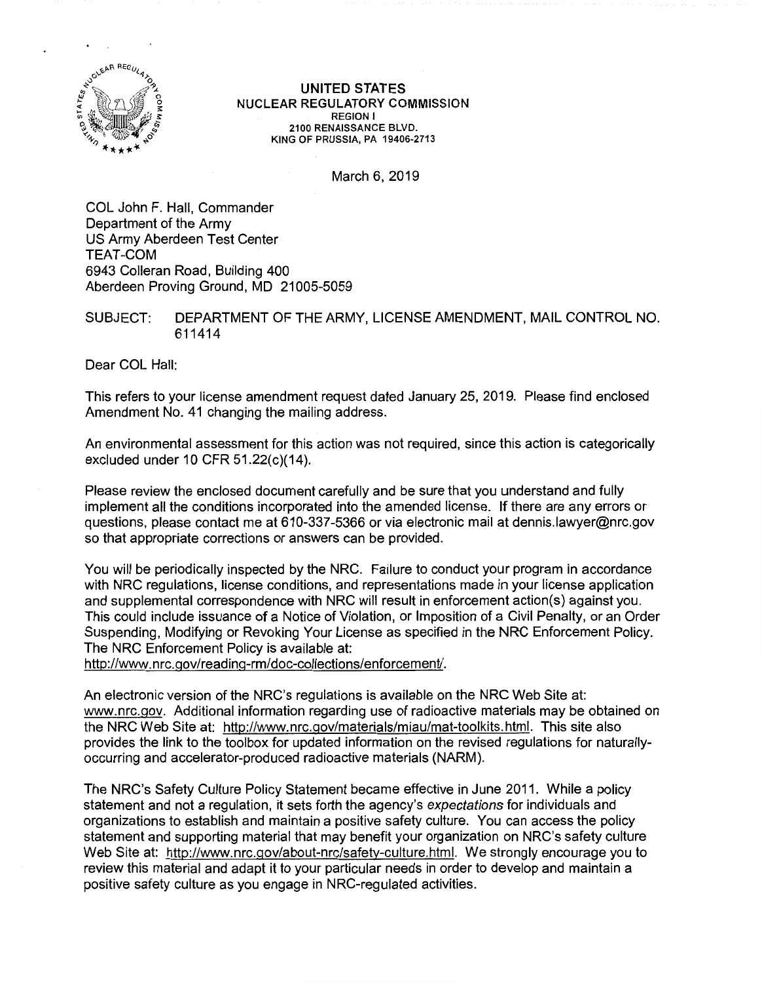

UNITED STATES NUCLEAR REGULATORY COMMISSION REGION I 2100 RENAISSANCE BLVD. KING OF PRUSSIA, PA 19406-2713

March 6, 2019

COL John F. Hall, Commander Department of the Army US Army Aberdeen Test Center TEAT-COM 6943 Colleran Road, Building 400 Aberdeen Proving Ground, MD 21005-5059

SUBJECT: DEPARTMENT OF THE ARMY, LICENSE AMENDMENT, MAIL CONTROL NO. 611414

Dear COL Hall:

This refers to your license amendment request dated January 25, 2019. Please find enclosed Amendment No. 41 changing the mailing address.

An environmental assessment for this action was not required, since this action is categorically excluded under 10 CFR  $51.22(c)(14)$ .

Please review the enclosed document carefully and be sure that you understand and fully implement all the conditions incorporated into the amended license. If there are any errors or questions, please contact me at 610-337-5366 or via electronic mail at dennis.lawyer@nrc.gov so that appropriate corrections or answers can be provided.

You will be periodically inspected by the NRC. Failure to conduct your program in accordance with NRC regulations, license conditions, and representations made in your license application and supplemental correspondence with NRC will result in enforcement action(s) against you. This could include issuance of a Notice of Violation, or Imposition of a Civil Penalty, or an Order Suspending, Modifying or Revoking Your License as specified in the NRC Enforcement Policy. The NRC Enforcement Policy is available at:

http://www.nrc.gov/reading-rm/doc-collections/enforcement/.

An electronic version of the NRC's regulations is available on the NRC Web Site at: www.nrc.gov. Additional information regarding use of radioactive materials may be obtained on the NRC Web Site at: http://www.nrc.gov/materials/miau/mat-toolkits.html. This site also provides the link to the toolbox for updated information on the revised regulations for naturallyoccurring and accelerator-produced radioactive materials (NARM).

The NRC's Safety Culture Policy Statement became effective in June 2011. While a policy statement and not a regulation, it sets forth the agency's expectations for individuals and organizations to establish and maintain a positive safety culture. You can access the policy statement and supporting material that may benefit your organization on NRC's safety culture Web Site at: http://www.nrc.gov/about-nrc/safety-culture.html. We strongly encourage you to review this material and adapt it to your particular needs in order to develop and maintain a positive safety culture as you engage in NRC-regulated activities.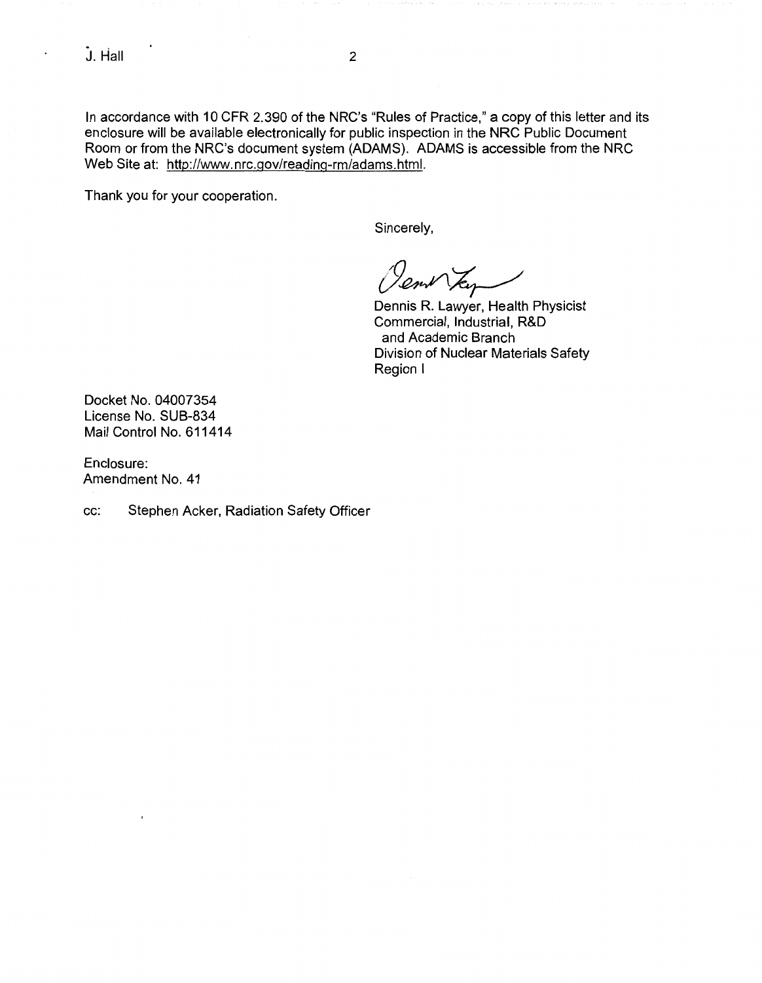$\ddot{\phantom{0}}$ 

In accordance with 10 CFR 2.390 of the NRC's "Rules of Practice," a copy of this letter and its enclosure will be available electronically for public inspection in the NRC Public Document Room or from the NRC's document system (ADAMS). ADAMS is accessible from the NRC Web Site at: http://www.nrc.gov/reading-rm/adams.html.

Thank you for your cooperation.

Sincerely,

*c9~~* 

Dennis R. Lawyer, Health Physicist Commercial, Industrial, R&D and Academic Branch Division of Nuclear Materials Safety Region I

Docket No. 04007354 License No. SUB-834 Mail Control No. 611414

Enclosure: Amendment No. 41

cc: Stephen Acker, Radiation Safety Officer